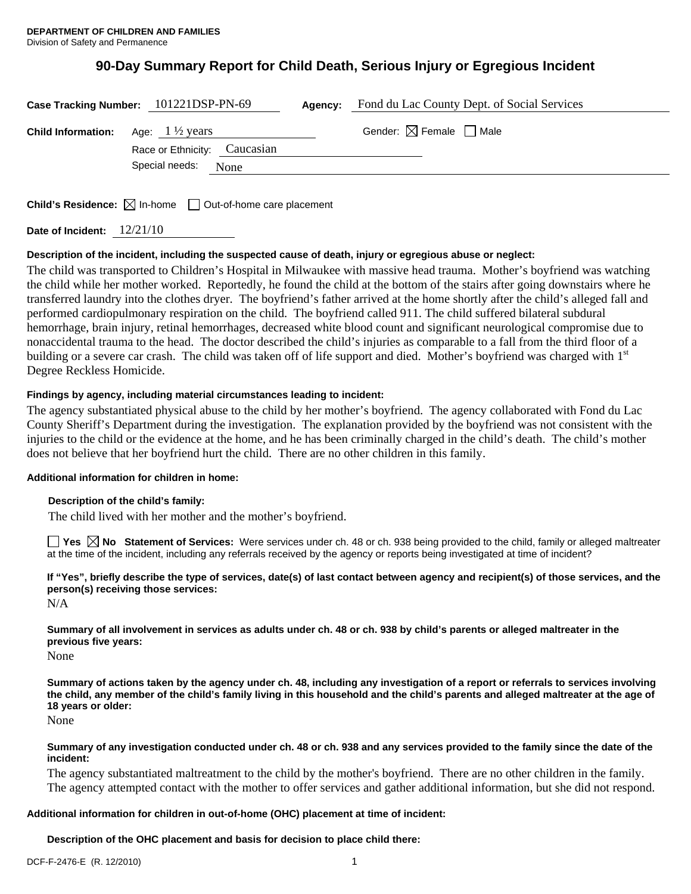# **90-Day Summary Report for Child Death, Serious Injury or Egregious Incident**

|                                                     | Case Tracking Number: 101221DSP-PN-69 | Agency: | Fond du Lac County Dept. of Social Services |
|-----------------------------------------------------|---------------------------------------|---------|---------------------------------------------|
| <b>Child Information:</b> Age: $1\frac{1}{2}$ years |                                       |         | Gender: $\boxtimes$ Female $\Box$ Male      |
|                                                     | Race or Ethnicity: Caucasian          |         |                                             |
|                                                     | Special needs:<br>None                |         |                                             |
|                                                     |                                       |         |                                             |

**Child's Residence:** ⊠ In-home □ Out-of-home care placement

**Date of Incident:** 12/21/10

# **Description of the incident, including the suspected cause of death, injury or egregious abuse or neglect:**

The child was transported to Children's Hospital in Milwaukee with massive head trauma. Mother's boyfriend was watching the child while her mother worked. Reportedly, he found the child at the bottom of the stairs after going downstairs where he transferred laundry into the clothes dryer. The boyfriend's father arrived at the home shortly after the child's alleged fall and performed cardiopulmonary respiration on the child. The boyfriend called 911. The child suffered bilateral subdural hemorrhage, brain injury, retinal hemorrhages, decreased white blood count and significant neurological compromise due to nonaccidental trauma to the head. The doctor described the child's injuries as comparable to a fall from the third floor of a building or a severe car crash. The child was taken off of life support and died. Mother's boyfriend was charged with 1<sup>st</sup> Degree Reckless Homicide.

### **Findings by agency, including material circumstances leading to incident:**

The agency substantiated physical abuse to the child by her mother's boyfriend. The agency collaborated with Fond du Lac County Sheriff's Department during the investigation. The explanation provided by the boyfriend was not consistent with the injuries to the child or the evidence at the home, and he has been criminally charged in the child's death. The child's mother does not believe that her boyfriend hurt the child. There are no other children in this family.

### **Additional information for children in home:**

#### **Description of the child's family:**

The child lived with her mother and the mother's boyfriend.

**Yes No Statement of Services:** Were services under ch. 48 or ch. 938 being provided to the child, family or alleged maltreater at the time of the incident, including any referrals received by the agency or reports being investigated at time of incident?

**If "Yes", briefly describe the type of services, date(s) of last contact between agency and recipient(s) of those services, and the person(s) receiving those services:** 

N/A

**Summary of all involvement in services as adults under ch. 48 or ch. 938 by child's parents or alleged maltreater in the previous five years:** 

None

**Summary of actions taken by the agency under ch. 48, including any investigation of a report or referrals to services involving the child, any member of the child's family living in this household and the child's parents and alleged maltreater at the age of 18 years or older:** 

None

#### **Summary of any investigation conducted under ch. 48 or ch. 938 and any services provided to the family since the date of the incident:**

The agency substantiated maltreatment to the child by the mother's boyfriend. There are no other children in the family. The agency attempted contact with the mother to offer services and gather additional information, but she did not respond.

# **Additional information for children in out-of-home (OHC) placement at time of incident:**

# **Description of the OHC placement and basis for decision to place child there:**